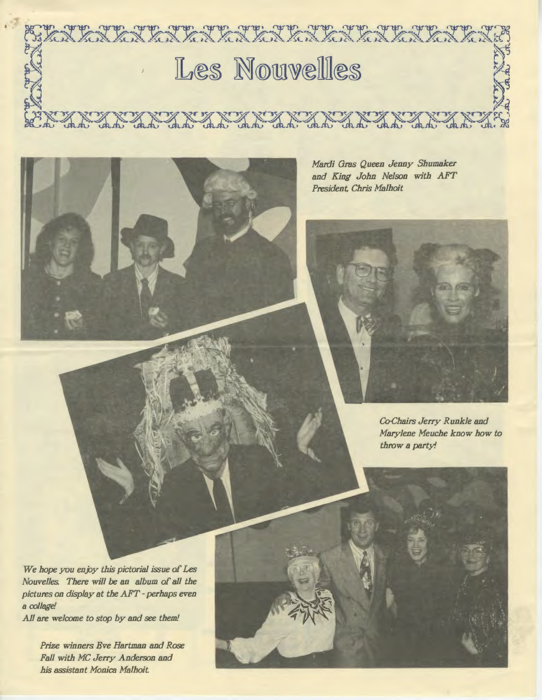

*Mardi Gras Queen Jenny Shumaker and King John Nelson with AFT President, Chris Malhoit* 



*Co-chairs Jerry Runkle and Marylene Meuche know how to throw a party!* 

*We hope you enjoy this pictorial issue of Les Nouvelles. There will* be *an album of all the pictures on display at the AFT* - *perhaps even*  a *collage!* 

*All are welcome to stop by and see them!* 

*Prize winners Eve Hartman and Rose Fall with MC Jerry Anderson and his assistant Monica Malhoit*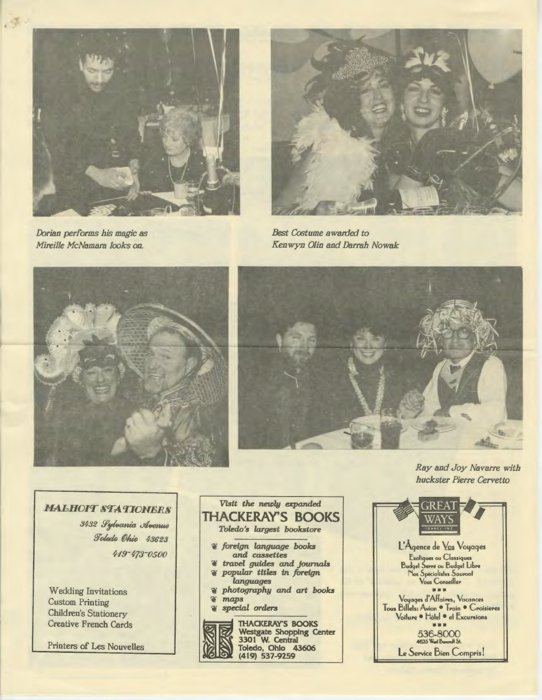

Dorian performs his magic as Mireille McNamara looks on.



**Best Costume awarded to** Kenwyn Olin and Darrah Nowak





Ray and Joy Navarre with huckster Pierre Cervetto

**MALHOIT STATIONERS** 

3432 Sylvania Avenue Toledo Ohio 43623 419-473-0500

**Wedding Invitations Custom Printing** Children's Stationery **Creative French Cards** 

Printers of Les Nouvelles

## Visit the newly expanded **THACKERAY'S BOOKS** Toledo's largest bookstore *& foreign language books* and cassettes ď travel guides and journals popular titles in foreign  $\mathbf{a}$ languages a photography and art books S. maps special orders  $\bullet$